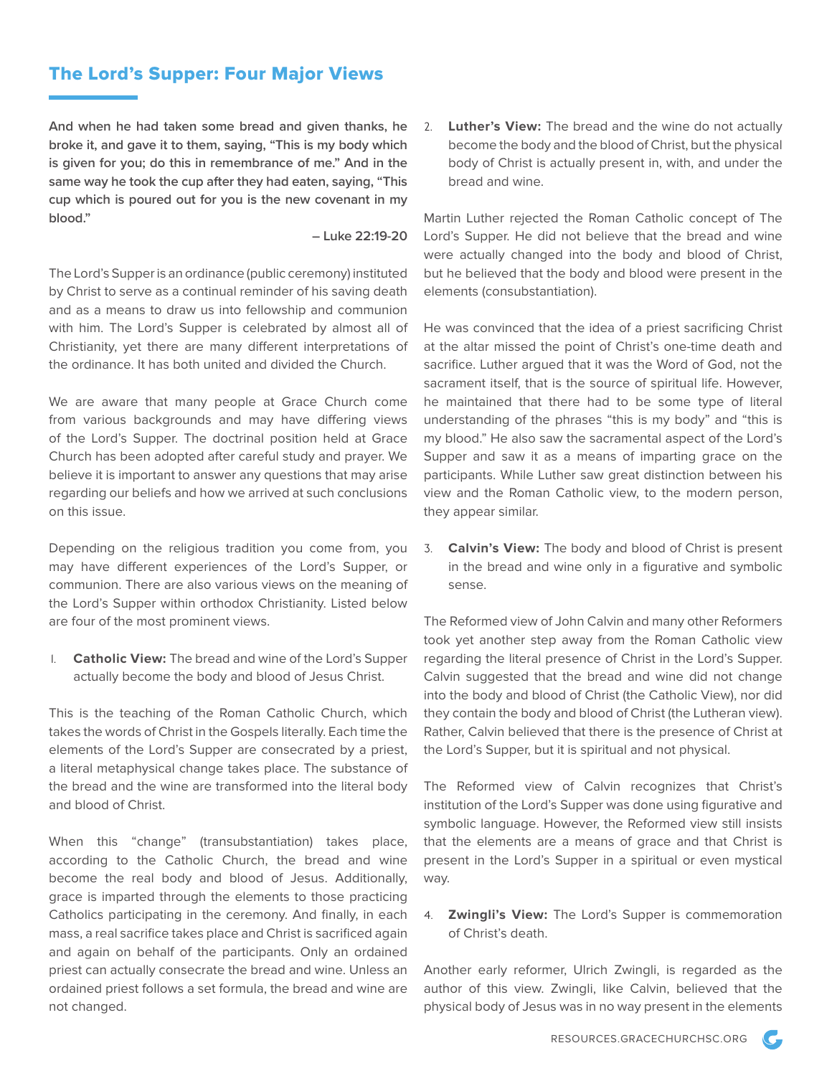## The Lord's Supper: Four Major Views

**And when he had taken some bread and given thanks, he broke it, and gave it to them, saying, "This is my body which is given for you; do this in remembrance of me." And in the same way he took the cup after they had eaten, saying, "This cup which is poured out for you is the new covenant in my blood."**

**– Luke 22:19-20**

The Lord's Supper is an ordinance (public ceremony) instituted by Christ to serve as a continual reminder of his saving death and as a means to draw us into fellowship and communion with him. The Lord's Supper is celebrated by almost all of Christianity, yet there are many different interpretations of the ordinance. It has both united and divided the Church.

We are aware that many people at Grace Church come from various backgrounds and may have differing views of the Lord's Supper. The doctrinal position held at Grace Church has been adopted after careful study and prayer. We believe it is important to answer any questions that may arise regarding our beliefs and how we arrived at such conclusions on this issue.

Depending on the religious tradition you come from, you may have different experiences of the Lord's Supper, or communion. There are also various views on the meaning of the Lord's Supper within orthodox Christianity. Listed below are four of the most prominent views.

1. **Catholic View:** The bread and wine of the Lord's Supper actually become the body and blood of Jesus Christ.

This is the teaching of the Roman Catholic Church, which takes the words of Christ in the Gospels literally. Each time the elements of the Lord's Supper are consecrated by a priest, a literal metaphysical change takes place. The substance of the bread and the wine are transformed into the literal body and blood of Christ.

When this "change" (transubstantiation) takes place, according to the Catholic Church, the bread and wine become the real body and blood of Jesus. Additionally, grace is imparted through the elements to those practicing Catholics participating in the ceremony. And finally, in each mass, a real sacrifice takes place and Christ is sacrificed again and again on behalf of the participants. Only an ordained priest can actually consecrate the bread and wine. Unless an ordained priest follows a set formula, the bread and wine are not changed.

2. **Luther's View:** The bread and the wine do not actually become the body and the blood of Christ, but the physical body of Christ is actually present in, with, and under the bread and wine.

Martin Luther rejected the Roman Catholic concept of The Lord's Supper. He did not believe that the bread and wine were actually changed into the body and blood of Christ, but he believed that the body and blood were present in the elements (consubstantiation).

He was convinced that the idea of a priest sacrificing Christ at the altar missed the point of Christ's one-time death and sacrifice. Luther argued that it was the Word of God, not the sacrament itself, that is the source of spiritual life. However, he maintained that there had to be some type of literal understanding of the phrases "this is my body" and "this is my blood." He also saw the sacramental aspect of the Lord's Supper and saw it as a means of imparting grace on the participants. While Luther saw great distinction between his view and the Roman Catholic view, to the modern person, they appear similar.

3. **Calvin's View:** The body and blood of Christ is present in the bread and wine only in a figurative and symbolic sense.

The Reformed view of John Calvin and many other Reformers took yet another step away from the Roman Catholic view regarding the literal presence of Christ in the Lord's Supper. Calvin suggested that the bread and wine did not change into the body and blood of Christ (the Catholic View), nor did they contain the body and blood of Christ (the Lutheran view). Rather, Calvin believed that there is the presence of Christ at the Lord's Supper, but it is spiritual and not physical.

The Reformed view of Calvin recognizes that Christ's institution of the Lord's Supper was done using figurative and symbolic language. However, the Reformed view still insists that the elements are a means of grace and that Christ is present in the Lord's Supper in a spiritual or even mystical way.

4. **Zwingli's View:** The Lord's Supper is commemoration of Christ's death.

Another early reformer, Ulrich Zwingli, is regarded as the author of this view. Zwingli, like Calvin, believed that the physical body of Jesus was in no way present in the elements

 $\mathcal{C}$